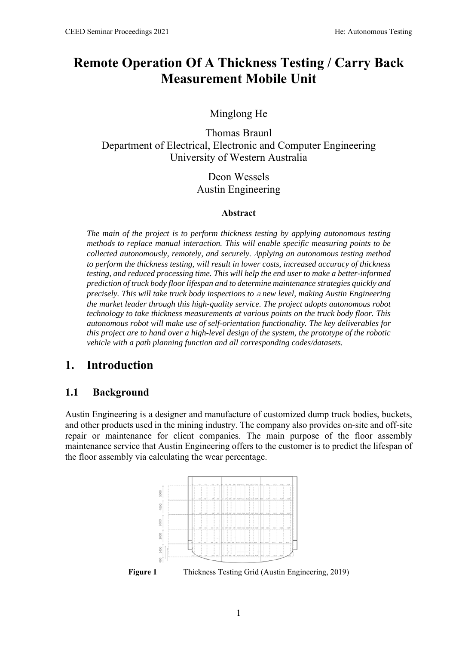# **Remote Operation Of A Thickness Testing / Carry Back Measurement Mobile Unit**

Minglong He

Thomas Braunl Department of Electrical, Electronic and Computer Engineering University of Western Australia

> Deon Wessels Austin Engineering

#### **Abstract**

*The main of the project is to perform thickness testing by applying autonomous testing methods to replace manual interaction. This will enable specific measuring points to be collected autonomously, remotely, and securely.* A*pplying an autonomous testing method to perform the thickness testing, will result in lower costs, increased accuracy of thickness testing, and reduced processing time. This will help the end user to make a better-informed prediction of truck body floor lifespan and to determine maintenance strategies quickly and precisely. This will take truck body inspections to* a *new level, making Austin Engineering the market leader through this high-quality service. The project adopts autonomous robot technology to take thickness measurements at various points on the truck body floor. This autonomous robot will make use of self-orientation functionality. The key deliverables for this project are to hand over a high-level design of the system, the prototype of the robotic vehicle with a path planning function and all corresponding codes/datasets.* 

### **1. Introduction**

#### **1.1 Background**

Austin Engineering is a designer and manufacture of customized dump truck bodies, buckets, and other products used in the mining industry. The company also provides on-site and off-site repair or maintenance for client companies. The main purpose of the floor assembly maintenance service that Austin Engineering offers to the customer is to predict the lifespan of the floor assembly via calculating the wear percentage.



**Figure 1** Thickness Testing Grid (Austin Engineering, 2019)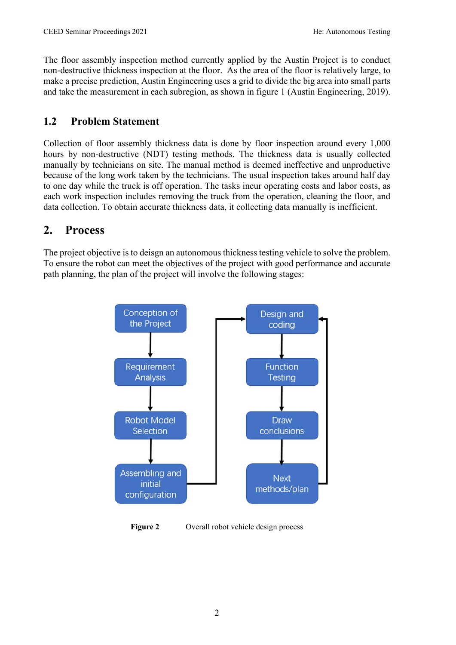The floor assembly inspection method currently applied by the Austin Project is to conduct non-destructive thickness inspection at the floor. As the area of the floor is relatively large, to make a precise prediction, Austin Engineering uses a grid to divide the big area into small parts and take the measurement in each subregion, as shown in figure 1 (Austin Engineering, 2019).

#### **1.2 Problem Statement**

Collection of floor assembly thickness data is done by floor inspection around every 1,000 hours by non-destructive (NDT) testing methods. The thickness data is usually collected manually by technicians on site. The manual method is deemed ineffective and unproductive because of the long work taken by the technicians. The usual inspection takes around half day to one day while the truck is off operation. The tasks incur operating costs and labor costs, as each work inspection includes removing the truck from the operation, cleaning the floor, and data collection. To obtain accurate thickness data, it collecting data manually is inefficient.

# **2. Process**

The project objective is to deisgn an autonomous thickness testing vehicle to solve the problem. To ensure the robot can meet the objectives of the project with good performance and accurate path planning, the plan of the project will involve the following stages:



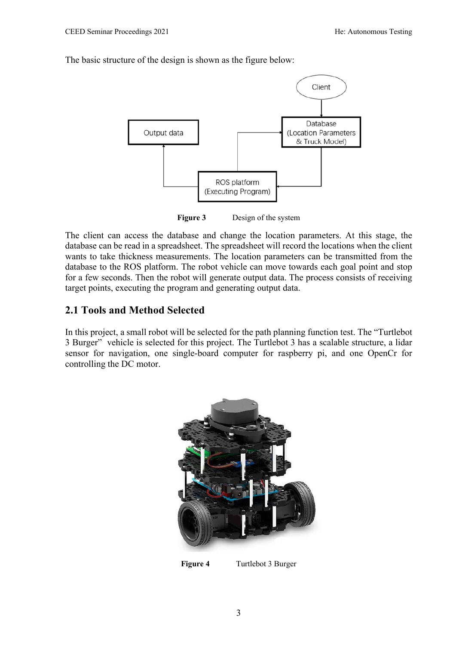The basic structure of the design is shown as the figure below:



**Figure 3** Design of the system

The client can access the database and change the location parameters. At this stage, the database can be read in a spreadsheet. The spreadsheet will record the locations when the client wants to take thickness measurements. The location parameters can be transmitted from the database to the ROS platform. The robot vehicle can move towards each goal point and stop for a few seconds. Then the robot will generate output data. The process consists of receiving target points, executing the program and generating output data.

#### **2.1 Tools and Method Selected**

In this project, a small robot will be selected for the path planning function test. The "Turtlebot 3 Burger" vehicle is selected for this project. The Turtlebot 3 has a scalable structure, a lidar sensor for navigation, one single-board computer for raspberry pi, and one OpenCr for controlling the DC motor.





3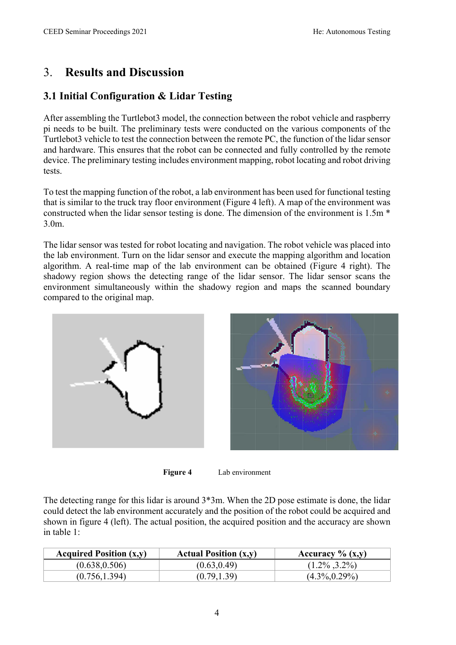# 3. **Results and Discussion**

## **3.1 Initial Configuration & Lidar Testing**

After assembling the Turtlebot3 model, the connection between the robot vehicle and raspberry pi needs to be built. The preliminary tests were conducted on the various components of the Turtlebot3 vehicle to test the connection between the remote PC, the function of the lidar sensor and hardware. This ensures that the robot can be connected and fully controlled by the remote device. The preliminary testing includes environment mapping, robot locating and robot driving tests.

To test the mapping function of the robot, a lab environment has been used for functional testing that is similar to the truck tray floor environment (Figure 4 left). A map of the environment was constructed when the lidar sensor testing is done. The dimension of the environment is 1.5m \* 3.0m.

The lidar sensor was tested for robot locating and navigation. The robot vehicle was placed into the lab environment. Turn on the lidar sensor and execute the mapping algorithm and location algorithm. A real-time map of the lab environment can be obtained (Figure 4 right). The shadowy region shows the detecting range of the lidar sensor. The lidar sensor scans the environment simultaneously within the shadowy region and maps the scanned boundary compared to the original map.



**Figure 4** Lab environment

The detecting range for this lidar is around 3\*3m. When the 2D pose estimate is done, the lidar could detect the lab environment accurately and the position of the robot could be acquired and shown in figure 4 (left). The actual position, the acquired position and the accuracy are shown in table 1:

| <b>Acquired Position (x,y)</b> | <b>Actual Position (x,y)</b> | Accuracy $\%$ (x,y) |
|--------------------------------|------------------------------|---------------------|
| (0.638, 0.506)                 | (0.63, 0.49)                 | $(1.2\%$ , 3.2%)    |
| (0.756, 1.394)                 | (0.79, 1.39)                 | $(4.3\%, 0.29\%)$   |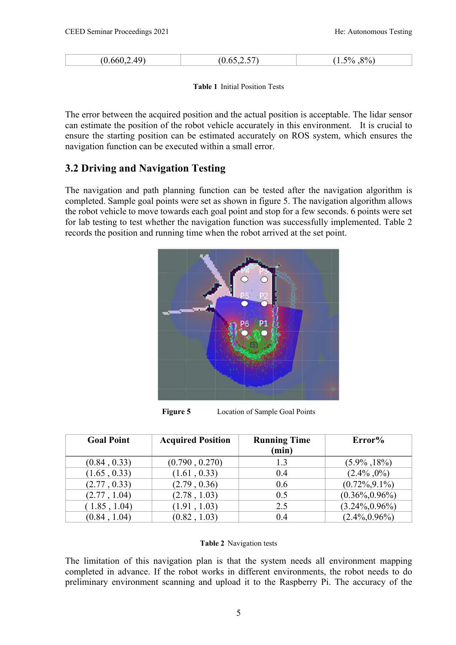| $A\Omega$ | $\overline{\phantom{a}}$ | $8\%$ |
|-----------|--------------------------|-------|
| (0.660)   | $\sqrt{2}$               | 50/6  |
|           |                          |       |

**Table 1** Initial Position Tests

The error between the acquired position and the actual position is acceptable. The lidar sensor can estimate the position of the robot vehicle accurately in this environment. It is crucial to ensure the starting position can be estimated accurately on ROS system, which ensures the navigation function can be executed within a small error.

#### **3.2 Driving and Navigation Testing**

The navigation and path planning function can be tested after the navigation algorithm is completed. Sample goal points were set as shown in figure 5. The navigation algorithm allows the robot vehicle to move towards each goal point and stop for a few seconds. 6 points were set for lab testing to test whether the navigation function was successfully implemented. Table 2 records the position and running time when the robot arrived at the set point.



Figure 5 Location of Sample Goal Points

| <b>Goal Point</b> | <b>Acquired Position</b> | <b>Running Time</b><br>(min) | Error%             |
|-------------------|--------------------------|------------------------------|--------------------|
| (0.84, 0.33)      | (0.790, 0.270)           | 1.3                          | $(5.9\% , 18\%)$   |
| (1.65, 0.33)      | (1.61, 0.33)             | 0.4                          | $(2.4\% , 0\%)$    |
| (2.77, 0.33)      | (2.79, 0.36)             | 0.6                          | $(0.72\%, 9.1\%)$  |
| (2.77, 1.04)      | (2.78, 1.03)             | 0.5                          | $(0.36\%, 0.96\%)$ |
| (1.85, 1.04)      | (1.91, 1.03)             | 2.5                          | $(3.24\%, 0.96\%)$ |
| (0.84, 1.04)      | (0.82, 1.03)             | 0.4                          | $(2.4\%, 0.96\%)$  |

#### **Table 2** Navigation tests

The limitation of this navigation plan is that the system needs all environment mapping completed in advance. If the robot works in different environments, the robot needs to do preliminary environment scanning and upload it to the Raspberry Pi. The accuracy of the